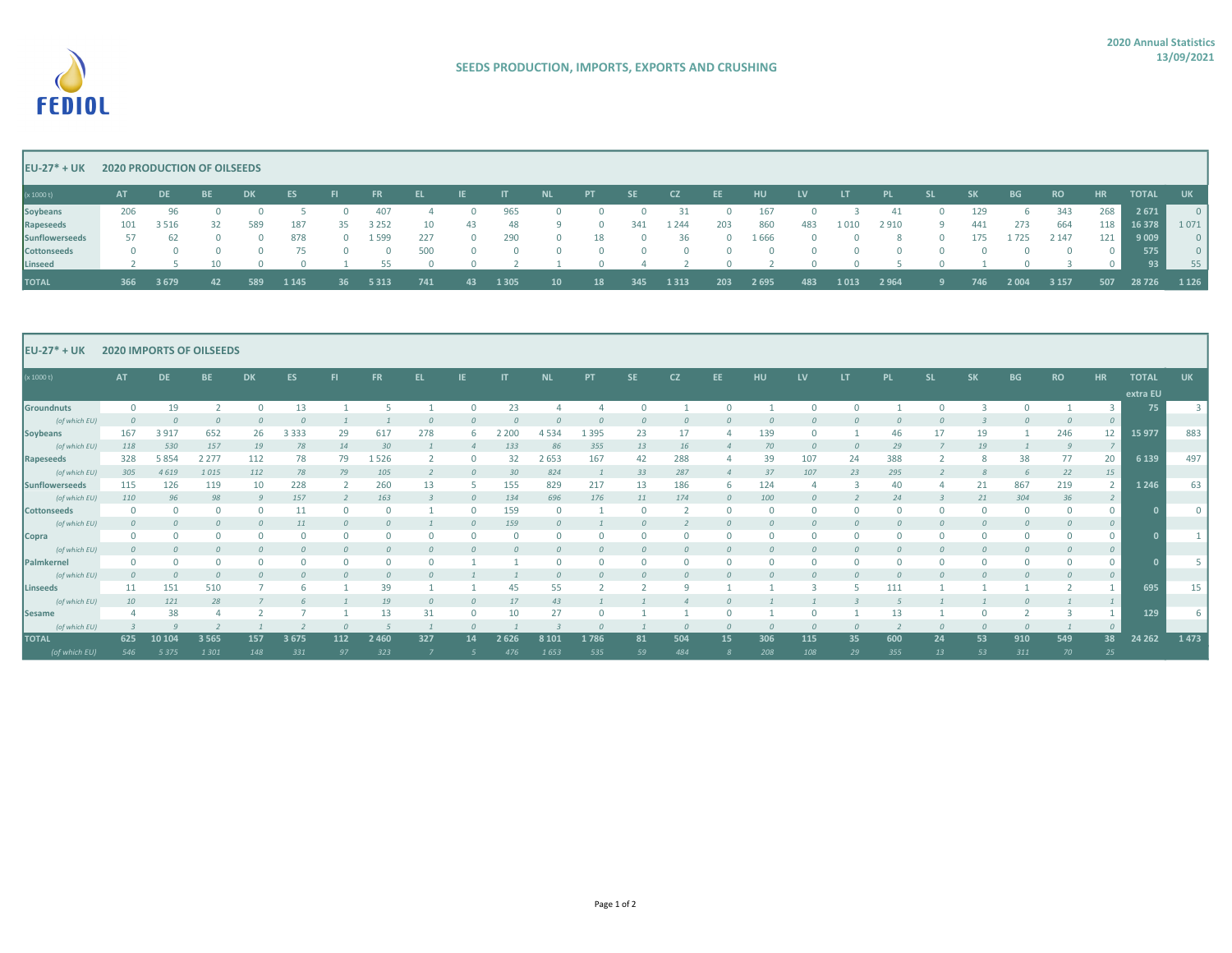

## EU-27\* + UK 2020 PRODUCTION OF OILSEEDS

| (x 1000 t)         | <b>AT</b> | <b>DE</b>      | <b>BE</b>               | DK.            | ES      | <b>September 1989</b> | <b>FR</b> | <u>and Elizabeth Starting</u> | $\blacksquare$ . If $\blacksquare$ | $\blacksquare$ | <b>NL</b> | PT       |                  | SE CZ EE |     | <b>HU</b>                                       | <b>EV</b> | <b>September 19</b> | PL SL   |                         | $SK = 5K$ | <b>BG</b>   | <b>RO</b> | $H$ R $\overline{H}$    | TOTAL  | <b>UK</b>                |
|--------------------|-----------|----------------|-------------------------|----------------|---------|-----------------------|-----------|-------------------------------|------------------------------------|----------------|-----------|----------|------------------|----------|-----|-------------------------------------------------|-----------|---------------------|---------|-------------------------|-----------|-------------|-----------|-------------------------|--------|--------------------------|
| <b>Soybeans</b>    | 206       | 96             |                         | $\overline{0}$ |         | $\overline{0}$        | 407       | $\sim$ 4                      | $\overline{0}$                     | 965            |           |          |                  |          |     | 0 0 0 31 0 167 0 3 41                           |           |                     |         | $\overline{\mathbf{0}}$ | 129       | $6^{\circ}$ | 343       | 268                     | 2671   | $\overline{\phantom{0}}$ |
| Rapeseeds          |           | 101 3 5 16     | 32                      | 589            | 187     | 35                    | 3 2 5 2   | 10                            | 43                                 | 48             |           | $9 \t 0$ |                  | 341 1244 | 203 | 860                                             | 483       | 1 0 1 0             | 2910    | - 9                     | 441       | 273         | 664       | 118                     | 16 378 | 1071                     |
| Sunflowerseeds     |           | 57 62          | $\overline{\mathbf{0}}$ | $\overline{0}$ | 878     | $\overline{0}$        | 1 5 9 9   | 227                           | $\sim$ 0                           |                | 290 0 18  |          |                  |          |     | 0 36 0 1666 0 0 8 0                             |           |                     |         |                         | 175       | 1725        | 2 1 4 7   | 121                     | 9009   | $\overline{\phantom{0}}$ |
| <b>Cottonseeds</b> |           | 0 0 0 0 75 0 0 |                         |                |         |                       |           | 500                           |                                    |                |           |          |                  |          |     |                                                 |           |                     |         |                         |           |             |           | $\overline{\mathbf{0}}$ | 575    | $\overline{\phantom{0}}$ |
| Linseed            |           |                |                         |                |         |                       |           |                               |                                    |                |           |          |                  |          |     | 2 5 10 0 0 1 55 0 0 2 1 0 4 2 0 2 0 0 5 0 1 0 3 |           |                     |         |                         |           |             |           | $\overline{\mathbf{0}}$ | 93     | 55                       |
| <b>TOTAL</b>       | 366       | 3 679          | 42                      | 589            | 1 1 4 5 | -36                   | 5313      | 741                           | 43                                 | 1 3 0 5        | $10-10$   | 18       | 345 <sup>2</sup> | 1 3 1 3  | 203 | 2 695                                           | 483       | 1 0 1 3             | 2 9 6 4 | - 9 -                   | 746       | 2 0 0 4     | 3 1 5 7   | 507                     | 28 726 | 1 1 2 6                  |

| <b>EU-27<sup>*</sup> + UK</b><br><b>2020 IMPORTS OF OILSEEDS</b> |           |           |           |           |           |           |           |     |    |              |         |           |           |           |     |     |     |     |           |           |           |           |              |                |                          |                         |
|------------------------------------------------------------------|-----------|-----------|-----------|-----------|-----------|-----------|-----------|-----|----|--------------|---------|-----------|-----------|-----------|-----|-----|-----|-----|-----------|-----------|-----------|-----------|--------------|----------------|--------------------------|-------------------------|
| (x 1000 t)                                                       | <b>AT</b> | <b>DE</b> | <b>BE</b> | <b>DK</b> | <b>ES</b> | <b>FI</b> | <b>FR</b> | EL. |    | $\mathsf{I}$ | NL      | <b>PT</b> | <b>SE</b> | <b>CZ</b> | EE. | HU  | LV  | LT. | <b>PL</b> | <b>SL</b> | <b>SK</b> | <b>BG</b> | <b>RO</b>    | HR             | <b>TOTAL</b><br>extra EU | <b>UK</b>               |
| Groundnuts                                                       |           | 19        |           |           | 13        |           |           |     |    | 23           |         |           |           |           |     |     |     |     |           |           |           |           |              |                | 75                       | $\overline{\mathbf{3}}$ |
| (of which EU)                                                    |           |           |           |           |           |           |           |     |    |              |         |           |           |           |     |     |     |     |           |           |           |           |              | $\overline{0}$ |                          |                         |
| Soybeans                                                         | 167       | 3 9 17    | 652       | 26        | 3 3 3 3   | 29        | 617       | 278 |    | 2 2 0 0      | 4 5 3 4 | 1 3 9 5   | 23        | 17        |     | 139 |     |     | 46        |           | 19        |           | 246          | 12             | 15 977                   | 883                     |
| (of which EU)                                                    | 118       | 530       | 157       | 19        | 78        | 14        | 30        |     |    | 133          | 86      | 355       | 13        | 16        |     | 70  |     |     | 29        |           | 19        |           |              |                |                          |                         |
| Rapeseeds                                                        | 328       | 5 8 5 4   | 2 2 7 7   | 112       | 78        | 79        | 1526      |     |    | 32           | 2 6 5 3 | 167       | 42        | 288       |     | 39  | 107 | 24  | 388       |           |           | 38        | 77           | 20             | 6 1 3 9                  | 497                     |
| (of which EU)                                                    | 305       | 4619      | 1015      | 112       | 78        | 79        | 105       |     |    | 30           | 824     |           | 33        | 287       |     | 37  | 107 | 23  | 295       |           |           |           | 22           | 15             |                          |                         |
| Sunflowerseeds                                                   | 115       | 126       | 119       | 10        | 228       |           | 260       | 13  |    | 155          | 829     | 217       | 13        | 186       |     | 124 |     |     |           |           | 21        | 867       | 219          |                | 1 2 4 6                  | 63                      |
| (of which EU)                                                    | 110       | 96        | 98        |           | 157       |           | 163       |     |    | 134          | 696     | 176       | 11        | 174       |     | 100 |     |     |           |           |           | 304       | 36           |                |                          |                         |
| Cottonseeds                                                      |           |           |           |           |           |           |           |     |    | 159          |         |           |           |           |     |     |     |     |           |           |           |           |              | 0              |                          | $\Omega$                |
| (of which EU)                                                    |           |           |           |           |           |           |           |     |    | 159          |         |           |           |           |     |     |     |     |           |           |           |           |              | $\overline{0}$ |                          |                         |
| Copra                                                            |           |           |           |           |           |           |           |     |    |              |         |           |           |           |     |     |     |     |           |           |           |           |              | 0              |                          |                         |
| (of which EU)<br>Palmkernel                                      |           |           |           |           |           |           |           |     |    |              |         |           |           |           |     |     |     |     |           |           |           |           |              | $\overline{0}$ |                          | 5                       |
|                                                                  |           |           |           |           |           |           |           |     |    |              |         |           |           |           |     |     |     |     |           |           |           |           |              | $\circ$        |                          |                         |
| (of which EU)<br>Linseeds                                        | 11        | 151       | 510       |           |           |           | 39        |     |    | 45           | 55      |           |           |           |     |     |     |     |           |           |           |           |              | $\mathcal{O}$  | 695                      | 15                      |
| (of which EU)                                                    | 10        | 121       | 28        |           |           |           | 19        |     |    | 17           |         |           |           |           |     |     |     |     |           |           |           |           |              |                |                          |                         |
| Sesame                                                           |           | 38        |           |           |           |           |           |     |    |              |         |           |           |           |     |     |     |     |           |           |           |           |              |                | 129                      | -6                      |
| (of which EU)                                                    |           |           |           |           |           |           |           |     |    |              |         |           |           |           |     |     |     |     |           |           |           |           |              | $\Omega$       |                          |                         |
| <b>TOTAL</b>                                                     | 625       | 10 10 4   | 3 5 6 5   | 157       | 3675      | 112       | 2 4 6 0   | 327 | 14 | 2626         | 8 1 0 1 | 1786      | 81        | 504       | 15  | 306 | 115 | 35  | 600       | 24        | 53        | 910       | 549          | 38             | 24 26 2                  | 1473                    |
| (of which FU)                                                    | 546       | 5.375     | 1,301     | 148       | 331       | 97        | 323       |     |    | 476          | 1653    | 535       | 59        | 484       |     | 208 | 108 | 79  | 355       | 13        | 53        | 311       | $70^{\circ}$ | 25             |                          |                         |